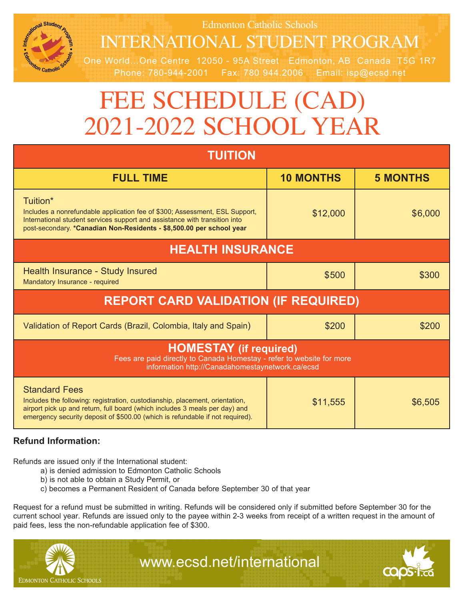

Edmonton Catholic Schools

# InteRnAtIOnAl Student PROgRAm

One World…One Centre 12050 - 95A Street Edmonton, AB Canada T5G 1R7 Phone: 780-944-2001 Fax: 780 944.2006 Email: isp@ecsd.net

# FEE SCHEDULE (CAD) 2021-2022 SCHOOL YEAR

| <b>TUITION</b>                                                                                                                                                                                                                                                       |                  |                 |
|----------------------------------------------------------------------------------------------------------------------------------------------------------------------------------------------------------------------------------------------------------------------|------------------|-----------------|
| <b>FULL TIME</b>                                                                                                                                                                                                                                                     | <b>10 MONTHS</b> | <b>5 MONTHS</b> |
| Tuition*<br>Includes a nonrefundable application fee of \$300; Assessment, ESL Support,<br>International student services support and assistance with transition into<br>post-secondary. *Canadian Non-Residents - \$8,500.00 per school year                        | \$12,000         | \$6,000         |
| <b>HEALTH INSURANCE</b>                                                                                                                                                                                                                                              |                  |                 |
| Health Insurance - Study Insured<br>Mandatory Insurance - required                                                                                                                                                                                                   | \$500            | \$300           |
| <b>REPORT CARD VALIDATION (IF REQUIRED)</b>                                                                                                                                                                                                                          |                  |                 |
| Validation of Report Cards (Brazil, Colombia, Italy and Spain)                                                                                                                                                                                                       | \$200            | \$200           |
| <b>HOMESTAY</b> (if required)<br>Fees are paid directly to Canada Homestay - refer to website for more<br>information http://Canadahomestaynetwork.ca/ecsd                                                                                                           |                  |                 |
| <b>Standard Fees</b><br>Includes the following: registration, custodianship, placement, orientation,<br>airport pick up and return, full board (which includes 3 meals per day) and<br>emergency security deposit of \$500.00 (which is refundable if not required). | \$11,555         | \$6,505         |

# **Refund Information:**

Refunds are issued only if the International student:

- a) is denied admission to Edmonton Catholic Schools
- b) is not able to obtain a Study Permit, or
- c) becomes a Permanent Resident of Canada before September 30 of that year

Request for a refund must be submitted in writing. Refunds will be considered only if submitted before September 30 for the current school year. Refunds are issued only to the payee within 2-3 weeks from receipt of a written request in the amount of paid fees, less the non-refundable application fee of \$300.



www.ecsd.net/international